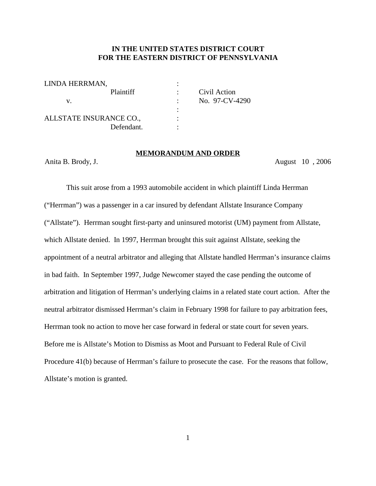# **IN THE UNITED STATES DISTRICT COURT FOR THE EASTERN DISTRICT OF PENNSYLVANIA**

| LINDA HERRMAN,          |                  |   |                |
|-------------------------|------------------|---|----------------|
|                         | <b>Plaintiff</b> |   | Civil Action   |
| V.                      |                  |   | No. 97-CV-4290 |
|                         |                  | ٠ |                |
| ALLSTATE INSURANCE CO., |                  |   |                |
|                         | Defendant.       |   |                |

#### **MEMORANDUM AND ORDER**

Anita B. Brody, J. August 10 , 2006

This suit arose from a 1993 automobile accident in which plaintiff Linda Herrman ("Herrman") was a passenger in a car insured by defendant Allstate Insurance Company ("Allstate"). Herrman sought first-party and uninsured motorist (UM) payment from Allstate, which Allstate denied. In 1997, Herrman brought this suit against Allstate, seeking the appointment of a neutral arbitrator and alleging that Allstate handled Herrman's insurance claims in bad faith. In September 1997, Judge Newcomer stayed the case pending the outcome of arbitration and litigation of Herrman's underlying claims in a related state court action. After the neutral arbitrator dismissed Herrman's claim in February 1998 for failure to pay arbitration fees, Herrman took no action to move her case forward in federal or state court for seven years. Before me is Allstate's Motion to Dismiss as Moot and Pursuant to Federal Rule of Civil Procedure 41(b) because of Herrman's failure to prosecute the case. For the reasons that follow, Allstate's motion is granted.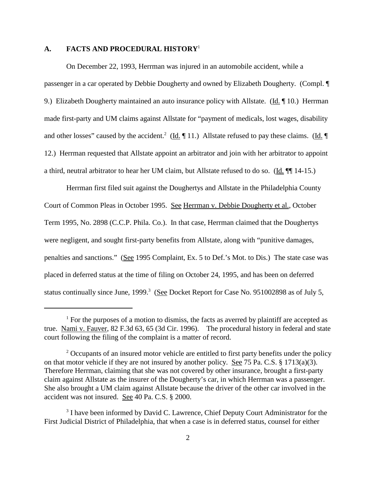# **A. FACTS AND PROCEDURAL HISTORY**<sup>1</sup>

On December 22, 1993, Herrman was injured in an automobile accident, while a passenger in a car operated by Debbie Dougherty and owned by Elizabeth Dougherty. (Compl. ¶ 9.) Elizabeth Dougherty maintained an auto insurance policy with Allstate. ( $\underline{Id}$ .  $\P$  10.) Herrman made first-party and UM claims against Allstate for "payment of medicals, lost wages, disability and other losses" caused by the accident.<sup>2</sup> (Id.  $\P$  11.) Allstate refused to pay these claims. (Id.  $\P$ 12.) Herrman requested that Allstate appoint an arbitrator and join with her arbitrator to appoint a third, neutral arbitrator to hear her UM claim, but Allstate refused to do so. (Id. ¶¶ 14-15.)

Herrman first filed suit against the Doughertys and Allstate in the Philadelphia County Court of Common Pleas in October 1995. See Herrman v. Debbie Dougherty et al., October Term 1995, No. 2898 (C.C.P. Phila. Co.). In that case, Herrman claimed that the Doughertys were negligent, and sought first-party benefits from Allstate, along with "punitive damages, penalties and sanctions." (See 1995 Complaint, Ex. 5 to Def.'s Mot. to Dis.) The state case was placed in deferred status at the time of filing on October 24, 1995, and has been on deferred status continually since June,  $1999$ <sup>3</sup> (See Docket Report for Case No. 951002898 as of July 5,

 $<sup>1</sup>$  For the purposes of a motion to dismiss, the facts as averred by plaintiff are accepted as</sup> true. Nami v. Fauver, 82 F.3d 63, 65 (3d Cir. 1996). The procedural history in federal and state court following the filing of the complaint is a matter of record.

 $2$  Occupants of an insured motor vehicle are entitled to first party benefits under the policy on that motor vehicle if they are not insured by another policy. See 75 Pa. C.S. § 1713(a)(3). Therefore Herrman, claiming that she was not covered by other insurance, brought a first-party claim against Allstate as the insurer of the Dougherty's car, in which Herrman was a passenger. She also brought a UM claim against Allstate because the driver of the other car involved in the accident was not insured. See 40 Pa. C.S. § 2000.

<sup>&</sup>lt;sup>3</sup> I have been informed by David C. Lawrence, Chief Deputy Court Administrator for the First Judicial District of Philadelphia, that when a case is in deferred status, counsel for either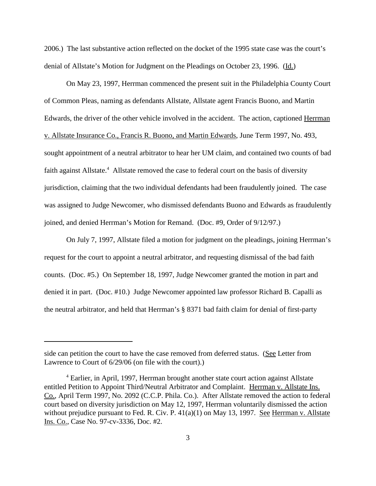2006.) The last substantive action reflected on the docket of the 1995 state case was the court's denial of Allstate's Motion for Judgment on the Pleadings on October 23, 1996. (Id.)

On May 23, 1997, Herrman commenced the present suit in the Philadelphia County Court of Common Pleas, naming as defendants Allstate, Allstate agent Francis Buono, and Martin Edwards, the driver of the other vehicle involved in the accident. The action, captioned Herrman v. Allstate Insurance Co., Francis R. Buono, and Martin Edwards, June Term 1997, No. 493, sought appointment of a neutral arbitrator to hear her UM claim, and contained two counts of bad faith against Allstate.<sup>4</sup> Allstate removed the case to federal court on the basis of diversity jurisdiction, claiming that the two individual defendants had been fraudulently joined. The case was assigned to Judge Newcomer, who dismissed defendants Buono and Edwards as fraudulently joined, and denied Herrman's Motion for Remand. (Doc. #9, Order of 9/12/97.)

On July 7, 1997, Allstate filed a motion for judgment on the pleadings, joining Herrman's request for the court to appoint a neutral arbitrator, and requesting dismissal of the bad faith counts. (Doc. #5.) On September 18, 1997, Judge Newcomer granted the motion in part and denied it in part. (Doc. #10.) Judge Newcomer appointed law professor Richard B. Capalli as the neutral arbitrator, and held that Herrman's § 8371 bad faith claim for denial of first-party

side can petition the court to have the case removed from deferred status. (See Letter from Lawrence to Court of 6/29/06 (on file with the court).)

<sup>&</sup>lt;sup>4</sup> Earlier, in April, 1997, Herrman brought another state court action against Allstate entitled Petition to Appoint Third/Neutral Arbitrator and Complaint. Herrman v. Allstate Ins. Co., April Term 1997, No. 2092 (C.C.P. Phila. Co.). After Allstate removed the action to federal court based on diversity jurisdiction on May 12, 1997, Herrman voluntarily dismissed the action without prejudice pursuant to Fed. R. Civ. P. 41(a)(1) on May 13, 1997. See Herrman v. Allstate Ins. Co., Case No. 97-cv-3336, Doc. #2.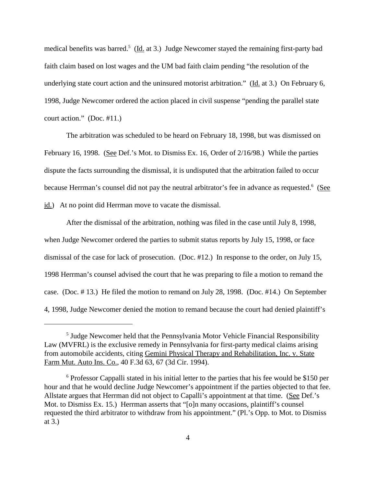medical benefits was barred.<sup>5</sup> (Id. at 3.) Judge Newcomer stayed the remaining first-party bad faith claim based on lost wages and the UM bad faith claim pending "the resolution of the underlying state court action and the uninsured motorist arbitration." ( $\underline{Id}$ , at 3.) On February 6, 1998, Judge Newcomer ordered the action placed in civil suspense "pending the parallel state court action." (Doc. #11.)

The arbitration was scheduled to be heard on February 18, 1998, but was dismissed on February 16, 1998. (See Def.'s Mot. to Dismiss Ex. 16, Order of 2/16/98.) While the parties dispute the facts surrounding the dismissal, it is undisputed that the arbitration failed to occur because Herrman's counsel did not pay the neutral arbitrator's fee in advance as requested.<sup>6</sup> (See id.) At no point did Herrman move to vacate the dismissal.

After the dismissal of the arbitration, nothing was filed in the case until July 8, 1998, when Judge Newcomer ordered the parties to submit status reports by July 15, 1998, or face dismissal of the case for lack of prosecution. (Doc. #12.) In response to the order, on July 15, 1998 Herrman's counsel advised the court that he was preparing to file a motion to remand the case. (Doc. # 13.) He filed the motion to remand on July 28, 1998. (Doc. #14.) On September 4, 1998, Judge Newcomer denied the motion to remand because the court had denied plaintiff's

<sup>&</sup>lt;sup>5</sup> Judge Newcomer held that the Pennsylvania Motor Vehicle Financial Responsibility Law (MVFRL) is the exclusive remedy in Pennsylvania for first-party medical claims arising from automobile accidents, citing Gemini Physical Therapy and Rehabilitation, Inc. v. State Farm Mut. Auto Ins. Co., 40 F.3d 63, 67 (3d Cir. 1994).

<sup>&</sup>lt;sup>6</sup> Professor Cappalli stated in his initial letter to the parties that his fee would be \$150 per hour and that he would decline Judge Newcomer's appointment if the parties objected to that fee. Allstate argues that Herrman did not object to Capalli's appointment at that time. (See Def.'s Mot. to Dismiss Ex. 15.) Herrman asserts that "[o]n many occasions, plaintiff's counsel requested the third arbitrator to withdraw from his appointment." (Pl.'s Opp. to Mot. to Dismiss at 3.)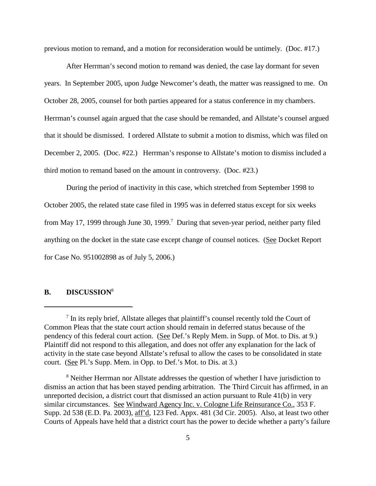previous motion to remand, and a motion for reconsideration would be untimely. (Doc. #17.)

After Herrman's second motion to remand was denied, the case lay dormant for seven years. In September 2005, upon Judge Newcomer's death, the matter was reassigned to me. On October 28, 2005, counsel for both parties appeared for a status conference in my chambers. Herrman's counsel again argued that the case should be remanded, and Allstate's counsel argued that it should be dismissed. I ordered Allstate to submit a motion to dismiss, which was filed on December 2, 2005. (Doc. #22.) Herrman's response to Allstate's motion to dismiss included a third motion to remand based on the amount in controversy. (Doc. #23.)

During the period of inactivity in this case, which stretched from September 1998 to October 2005, the related state case filed in 1995 was in deferred status except for six weeks from May 17, 1999 through June 30, 1999.<sup>7</sup> During that seven-year period, neither party filed anything on the docket in the state case except change of counsel notices. (See Docket Report for Case No. 951002898 as of July 5, 2006.)

# **B. DISCUSSION**<sup>8</sup>

<sup>&</sup>lt;sup>7</sup> In its reply brief, Allstate alleges that plaintiff's counsel recently told the Court of Common Pleas that the state court action should remain in deferred status because of the pendency of this federal court action. (See Def.'s Reply Mem. in Supp. of Mot. to Dis. at 9.) Plaintiff did not respond to this allegation, and does not offer any explanation for the lack of activity in the state case beyond Allstate's refusal to allow the cases to be consolidated in state court. (See Pl.'s Supp. Mem. in Opp. to Def.'s Mot. to Dis. at 3.)

<sup>&</sup>lt;sup>8</sup> Neither Herrman nor Allstate addresses the question of whether I have jurisdiction to dismiss an action that has been stayed pending arbitration. The Third Circuit has affirmed, in an unreported decision, a district court that dismissed an action pursuant to Rule 41(b) in very similar circumstances. See Windward Agency Inc. v. Cologne Life Reinsurance Co., 353 F. Supp. 2d 538 (E.D. Pa. 2003), aff'd, 123 Fed. Appx. 481 (3d Cir. 2005). Also, at least two other Courts of Appeals have held that a district court has the power to decide whether a party's failure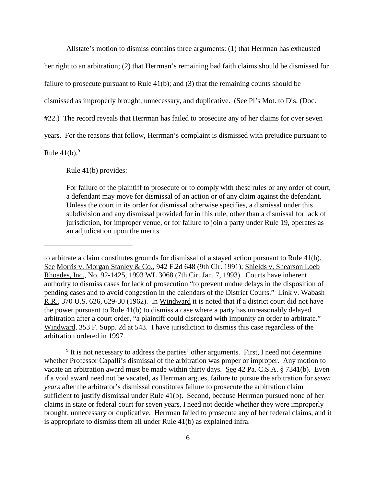Allstate's motion to dismiss contains three arguments: (1) that Herrman has exhausted

her right to an arbitration; (2) that Herrman's remaining bad faith claims should be dismissed for

failure to prosecute pursuant to Rule 41(b); and (3) that the remaining counts should be

dismissed as improperly brought, unnecessary, and duplicative. (See Pl's Mot. to Dis. (Doc.

#22.) The record reveals that Herrman has failed to prosecute any of her claims for over seven

years. For the reasons that follow, Herrman's complaint is dismissed with prejudice pursuant to

Rule  $41(b)$ .<sup>9</sup>

Rule 41(b) provides:

For failure of the plaintiff to prosecute or to comply with these rules or any order of court, a defendant may move for dismissal of an action or of any claim against the defendant. Unless the court in its order for dismissal otherwise specifies, a dismissal under this subdivision and any dismissal provided for in this rule, other than a dismissal for lack of jurisdiction, for improper venue, or for failure to join a party under Rule 19, operates as an adjudication upon the merits.

<sup>9</sup> It is not necessary to address the parties' other arguments. First, I need not determine whether Professor Capalli's dismissal of the arbitration was proper or improper. Any motion to vacate an arbitration award must be made within thirty days. See 42 Pa. C.S.A. § 7341(b). Even if a void award need not be vacated, as Herrman argues, failure to pursue the arbitration for *seven years* after the arbitrator's dismissal constitutes failure to prosecute the arbitration claim sufficient to justify dismissal under Rule 41(b). Second, because Herrman pursued none of her claims in state or federal court for seven years, I need not decide whether they were improperly brought, unnecessary or duplicative. Herrman failed to prosecute any of her federal claims, and it is appropriate to dismiss them all under Rule 41(b) as explained infra.

to arbitrate a claim constitutes grounds for dismissal of a stayed action pursuant to Rule 41(b). See Morris v. Morgan Stanley & Co., 942 F.2d 648 (9th Cir. 1991); Shields v. Shearson Loeb Rhoades, Inc., No. 92-1425, 1993 WL 3068 (7th Cir. Jan. 7, 1993). Courts have inherent authority to dismiss cases for lack of prosecution "to prevent undue delays in the disposition of pending cases and to avoid congestion in the calendars of the District Courts." Link v. Wabash R.R., 370 U.S. 626, 629-30 (1962). In Windward it is noted that if a district court did not have the power pursuant to Rule 41(b) to dismiss a case where a party has unreasonably delayed arbitration after a court order, "a plaintiff could disregard with impunity an order to arbitrate." Windward, 353 F. Supp. 2d at 543. I have jurisdiction to dismiss this case regardless of the arbitration ordered in 1997.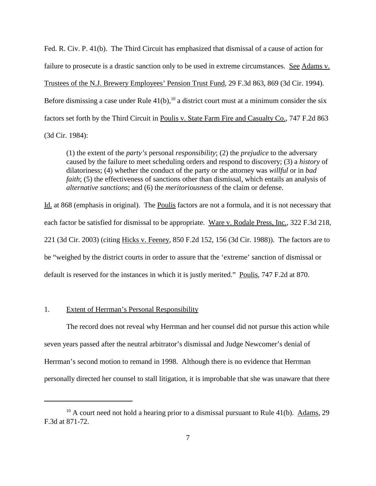Fed. R. Civ. P. 41(b). The Third Circuit has emphasized that dismissal of a cause of action for failure to prosecute is a drastic sanction only to be used in extreme circumstances. See Adams v. Trustees of the N.J. Brewery Employees' Pension Trust Fund, 29 F.3d 863, 869 (3d Cir. 1994). Before dismissing a case under Rule  $41(b)$ ,<sup>10</sup> a district court must at a minimum consider the six factors set forth by the Third Circuit in Poulis v. State Farm Fire and Casualty Co., 747 F.2d 863 (3d Cir. 1984):

(1) the extent of the *party's* personal *responsibility*; (2) the *prejudice* to the adversary caused by the failure to meet scheduling orders and respond to discovery; (3) a *history* of dilatoriness; (4) whether the conduct of the party or the attorney was *willful* or in *bad faith*; (5) the effectiveness of sanctions other than dismissal, which entails an analysis of *alternative sanctions*; and (6) the *meritoriousness* of the claim or defense.

Id. at 868 (emphasis in original). The Poulis factors are not a formula, and it is not necessary that each factor be satisfied for dismissal to be appropriate. Ware v. Rodale Press, Inc., 322 F.3d 218, 221 (3d Cir. 2003) (citing Hicks v. Feeney, 850 F.2d 152, 156 (3d Cir. 1988)). The factors are to be "weighed by the district courts in order to assure that the 'extreme' sanction of dismissal or default is reserved for the instances in which it is justly merited." Poulis, 747 F.2d at 870.

### 1. Extent of Herrman's Personal Responsibility

The record does not reveal why Herrman and her counsel did not pursue this action while seven years passed after the neutral arbitrator's dismissal and Judge Newcomer's denial of Herrman's second motion to remand in 1998. Although there is no evidence that Herrman personally directed her counsel to stall litigation, it is improbable that she was unaware that there

 $10$  A court need not hold a hearing prior to a dismissal pursuant to Rule 41(b). Adams, 29 F.3d at 871-72.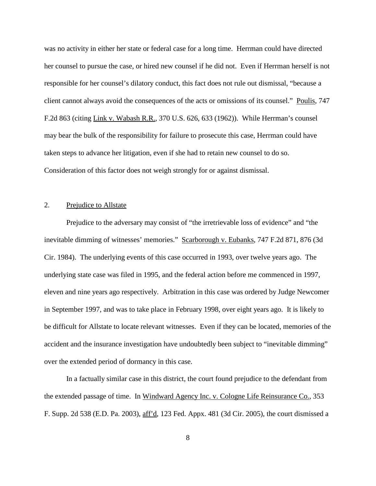was no activity in either her state or federal case for a long time. Herrman could have directed her counsel to pursue the case, or hired new counsel if he did not. Even if Herrman herself is not responsible for her counsel's dilatory conduct, this fact does not rule out dismissal, "because a client cannot always avoid the consequences of the acts or omissions of its counsel." Poulis, 747 F.2d 863 (citing Link v. Wabash R.R., 370 U.S. 626, 633 (1962)). While Herrman's counsel may bear the bulk of the responsibility for failure to prosecute this case, Herrman could have taken steps to advance her litigation, even if she had to retain new counsel to do so. Consideration of this factor does not weigh strongly for or against dismissal.

### 2. Prejudice to Allstate

Prejudice to the adversary may consist of "the irretrievable loss of evidence" and "the inevitable dimming of witnesses' memories." Scarborough v. Eubanks, 747 F.2d 871, 876 (3d Cir. 1984). The underlying events of this case occurred in 1993, over twelve years ago. The underlying state case was filed in 1995, and the federal action before me commenced in 1997, eleven and nine years ago respectively. Arbitration in this case was ordered by Judge Newcomer in September 1997, and was to take place in February 1998, over eight years ago. It is likely to be difficult for Allstate to locate relevant witnesses. Even if they can be located, memories of the accident and the insurance investigation have undoubtedly been subject to "inevitable dimming" over the extended period of dormancy in this case.

In a factually similar case in this district, the court found prejudice to the defendant from the extended passage of time. In Windward Agency Inc. v. Cologne Life Reinsurance Co., 353 F. Supp. 2d 538 (E.D. Pa. 2003), aff'd, 123 Fed. Appx. 481 (3d Cir. 2005), the court dismissed a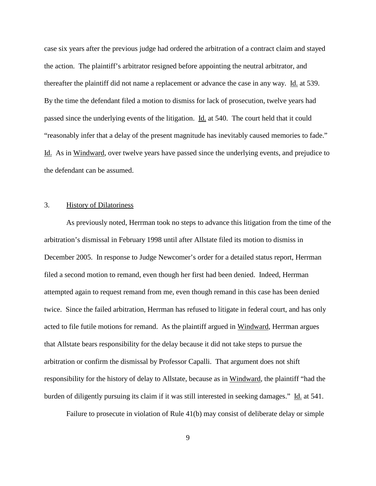case six years after the previous judge had ordered the arbitration of a contract claim and stayed the action. The plaintiff's arbitrator resigned before appointing the neutral arbitrator, and thereafter the plaintiff did not name a replacement or advance the case in any way. Id. at 539. By the time the defendant filed a motion to dismiss for lack of prosecution, twelve years had passed since the underlying events of the litigation. Id. at 540. The court held that it could "reasonably infer that a delay of the present magnitude has inevitably caused memories to fade." Id. As in Windward, over twelve years have passed since the underlying events, and prejudice to the defendant can be assumed.

### 3. History of Dilatoriness

As previously noted, Herrman took no steps to advance this litigation from the time of the arbitration's dismissal in February 1998 until after Allstate filed its motion to dismiss in December 2005. In response to Judge Newcomer's order for a detailed status report, Herrman filed a second motion to remand, even though her first had been denied. Indeed, Herrman attempted again to request remand from me, even though remand in this case has been denied twice. Since the failed arbitration, Herrman has refused to litigate in federal court, and has only acted to file futile motions for remand. As the plaintiff argued in Windward, Herrman argues that Allstate bears responsibility for the delay because it did not take steps to pursue the arbitration or confirm the dismissal by Professor Capalli. That argument does not shift responsibility for the history of delay to Allstate, because as in Windward, the plaintiff "had the burden of diligently pursuing its claim if it was still interested in seeking damages." Id. at 541.

Failure to prosecute in violation of Rule 41(b) may consist of deliberate delay or simple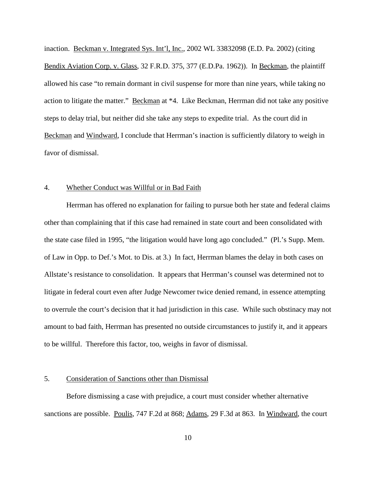inaction. Beckman v. Integrated Sys. Int'l, Inc., 2002 WL 33832098 (E.D. Pa. 2002) (citing Bendix Aviation Corp. v. Glass, 32 F.R.D. 375, 377 (E.D.Pa. 1962)). In Beckman, the plaintiff allowed his case "to remain dormant in civil suspense for more than nine years, while taking no action to litigate the matter." Beckman at \*4. Like Beckman, Herrman did not take any positive steps to delay trial, but neither did she take any steps to expedite trial. As the court did in Beckman and Windward, I conclude that Herrman's inaction is sufficiently dilatory to weigh in favor of dismissal.

#### 4. Whether Conduct was Willful or in Bad Faith

Herrman has offered no explanation for failing to pursue both her state and federal claims other than complaining that if this case had remained in state court and been consolidated with the state case filed in 1995, "the litigation would have long ago concluded." (Pl.'s Supp. Mem. of Law in Opp. to Def.'s Mot. to Dis. at 3.) In fact, Herrman blames the delay in both cases on Allstate's resistance to consolidation. It appears that Herrman's counsel was determined not to litigate in federal court even after Judge Newcomer twice denied remand, in essence attempting to overrule the court's decision that it had jurisdiction in this case. While such obstinacy may not amount to bad faith, Herrman has presented no outside circumstances to justify it, and it appears to be willful. Therefore this factor, too, weighs in favor of dismissal.

# 5. Consideration of Sanctions other than Dismissal

Before dismissing a case with prejudice, a court must consider whether alternative sanctions are possible. Poulis, 747 F.2d at 868; Adams, 29 F.3d at 863. In Windward, the court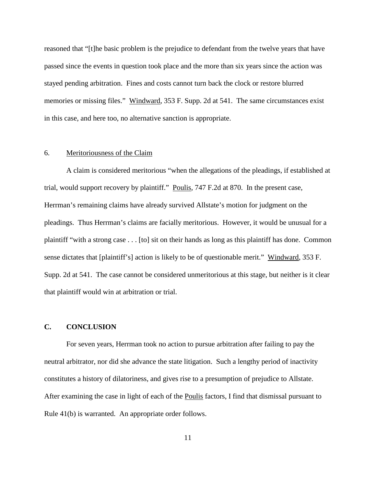reasoned that "[t]he basic problem is the prejudice to defendant from the twelve years that have passed since the events in question took place and the more than six years since the action was stayed pending arbitration. Fines and costs cannot turn back the clock or restore blurred memories or missing files." Windward, 353 F. Supp. 2d at 541. The same circumstances exist in this case, and here too, no alternative sanction is appropriate.

### 6. Meritoriousness of the Claim

A claim is considered meritorious "when the allegations of the pleadings, if established at trial, would support recovery by plaintiff." Poulis, 747 F.2d at 870. In the present case, Herrman's remaining claims have already survived Allstate's motion for judgment on the pleadings. Thus Herrman's claims are facially meritorious. However, it would be unusual for a plaintiff "with a strong case . . . [to] sit on their hands as long as this plaintiff has done. Common sense dictates that [plaintiff's] action is likely to be of questionable merit." Windward, 353 F. Supp. 2d at 541. The case cannot be considered unmeritorious at this stage, but neither is it clear that plaintiff would win at arbitration or trial.

### **C. CONCLUSION**

For seven years, Herrman took no action to pursue arbitration after failing to pay the neutral arbitrator, nor did she advance the state litigation. Such a lengthy period of inactivity constitutes a history of dilatoriness, and gives rise to a presumption of prejudice to Allstate. After examining the case in light of each of the Poulis factors, I find that dismissal pursuant to Rule 41(b) is warranted. An appropriate order follows.